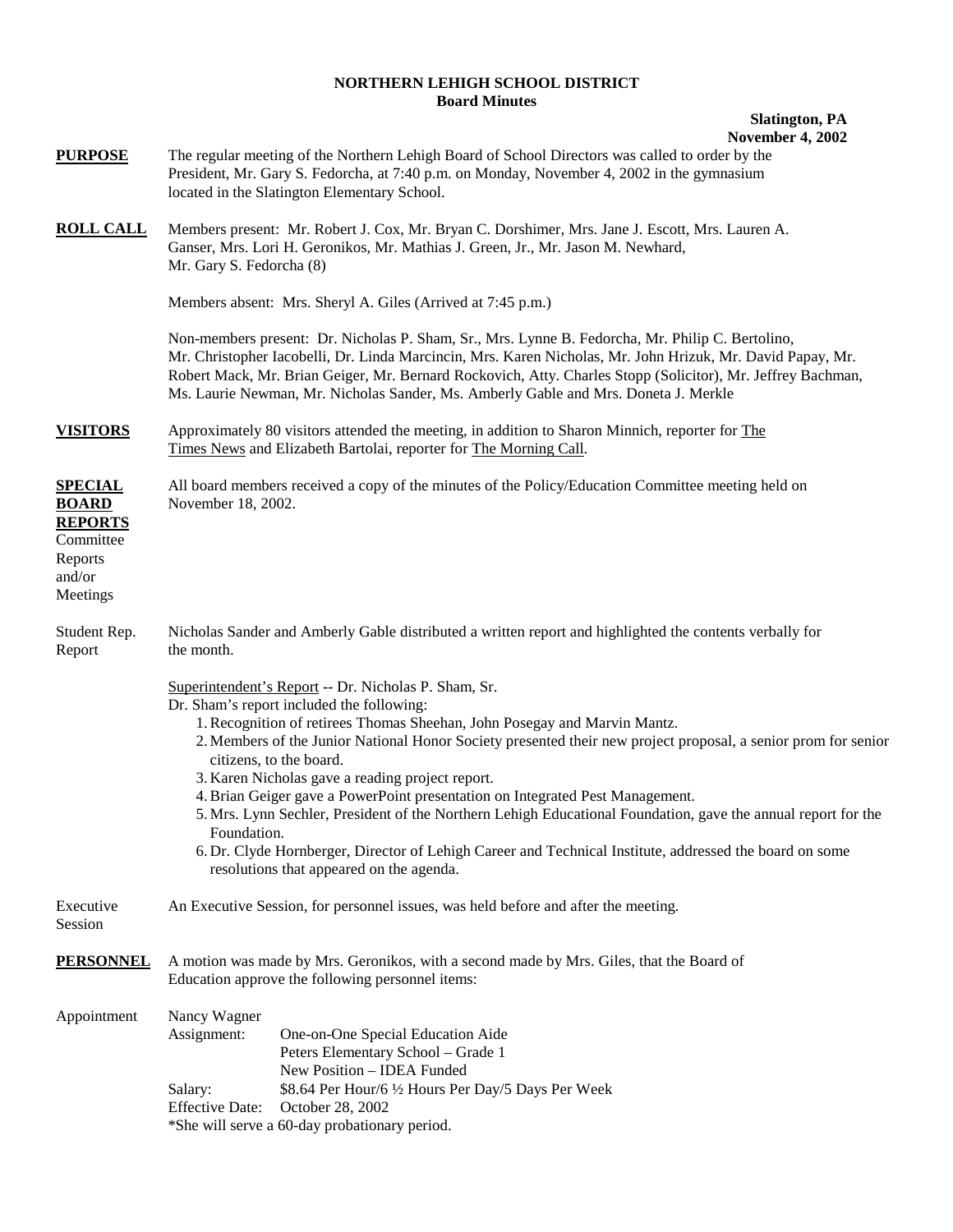## **NORTHERN LEHIGH SCHOOL DISTRICT Board Minutes**

## **Slatington, PA November 4, 2002**

| <b>PURPOSE</b>                                                                                 | The regular meeting of the Northern Lehigh Board of School Directors was called to order by the<br>President, Mr. Gary S. Fedorcha, at 7:40 p.m. on Monday, November 4, 2002 in the gymnasium<br>located in the Slatington Elementary School.                                                                                                                                                                                                                                                                                                                                                                                                                                                                                                           |
|------------------------------------------------------------------------------------------------|---------------------------------------------------------------------------------------------------------------------------------------------------------------------------------------------------------------------------------------------------------------------------------------------------------------------------------------------------------------------------------------------------------------------------------------------------------------------------------------------------------------------------------------------------------------------------------------------------------------------------------------------------------------------------------------------------------------------------------------------------------|
| <b>ROLL CALL</b>                                                                               | Members present: Mr. Robert J. Cox, Mr. Bryan C. Dorshimer, Mrs. Jane J. Escott, Mrs. Lauren A.<br>Ganser, Mrs. Lori H. Geronikos, Mr. Mathias J. Green, Jr., Mr. Jason M. Newhard,<br>Mr. Gary S. Fedorcha (8)                                                                                                                                                                                                                                                                                                                                                                                                                                                                                                                                         |
|                                                                                                | Members absent: Mrs. Sheryl A. Giles (Arrived at 7:45 p.m.)                                                                                                                                                                                                                                                                                                                                                                                                                                                                                                                                                                                                                                                                                             |
|                                                                                                | Non-members present: Dr. Nicholas P. Sham, Sr., Mrs. Lynne B. Fedorcha, Mr. Philip C. Bertolino,<br>Mr. Christopher Iacobelli, Dr. Linda Marcincin, Mrs. Karen Nicholas, Mr. John Hrizuk, Mr. David Papay, Mr.<br>Robert Mack, Mr. Brian Geiger, Mr. Bernard Rockovich, Atty. Charles Stopp (Solicitor), Mr. Jeffrey Bachman,<br>Ms. Laurie Newman, Mr. Nicholas Sander, Ms. Amberly Gable and Mrs. Doneta J. Merkle                                                                                                                                                                                                                                                                                                                                    |
| <b>VISITORS</b>                                                                                | Approximately 80 visitors attended the meeting, in addition to Sharon Minnich, reporter for The<br>Times News and Elizabeth Bartolai, reporter for The Morning Call.                                                                                                                                                                                                                                                                                                                                                                                                                                                                                                                                                                                    |
| <b>SPECIAL</b><br><b>BOARD</b><br><b>REPORTS</b><br>Committee<br>Reports<br>and/or<br>Meetings | All board members received a copy of the minutes of the Policy/Education Committee meeting held on<br>November 18, 2002.                                                                                                                                                                                                                                                                                                                                                                                                                                                                                                                                                                                                                                |
| Student Rep.<br>Report                                                                         | Nicholas Sander and Amberly Gable distributed a written report and highlighted the contents verbally for<br>the month.                                                                                                                                                                                                                                                                                                                                                                                                                                                                                                                                                                                                                                  |
|                                                                                                | Superintendent's Report -- Dr. Nicholas P. Sham, Sr.<br>Dr. Sham's report included the following:<br>1. Recognition of retirees Thomas Sheehan, John Posegay and Marvin Mantz.<br>2. Members of the Junior National Honor Society presented their new project proposal, a senior prom for senior<br>citizens, to the board.<br>3. Karen Nicholas gave a reading project report.<br>4. Brian Geiger gave a PowerPoint presentation on Integrated Pest Management.<br>5. Mrs. Lynn Sechler, President of the Northern Lehigh Educational Foundation, gave the annual report for the<br>Foundation.<br>6. Dr. Clyde Hornberger, Director of Lehigh Career and Technical Institute, addressed the board on some<br>resolutions that appeared on the agenda. |
| Executive<br>Session                                                                           | An Executive Session, for personnel issues, was held before and after the meeting.                                                                                                                                                                                                                                                                                                                                                                                                                                                                                                                                                                                                                                                                      |
| <b>PERSONNEL</b>                                                                               | A motion was made by Mrs. Geronikos, with a second made by Mrs. Giles, that the Board of<br>Education approve the following personnel items:                                                                                                                                                                                                                                                                                                                                                                                                                                                                                                                                                                                                            |
| Appointment                                                                                    | Nancy Wagner<br>Assignment:<br>One-on-One Special Education Aide<br>Peters Elementary School - Grade 1<br>New Position - IDEA Funded<br>Salary:<br>\$8.64 Per Hour/6 1/2 Hours Per Day/5 Days Per Week<br><b>Effective Date:</b><br>October 28, 2002<br>*She will serve a 60-day probationary period.                                                                                                                                                                                                                                                                                                                                                                                                                                                   |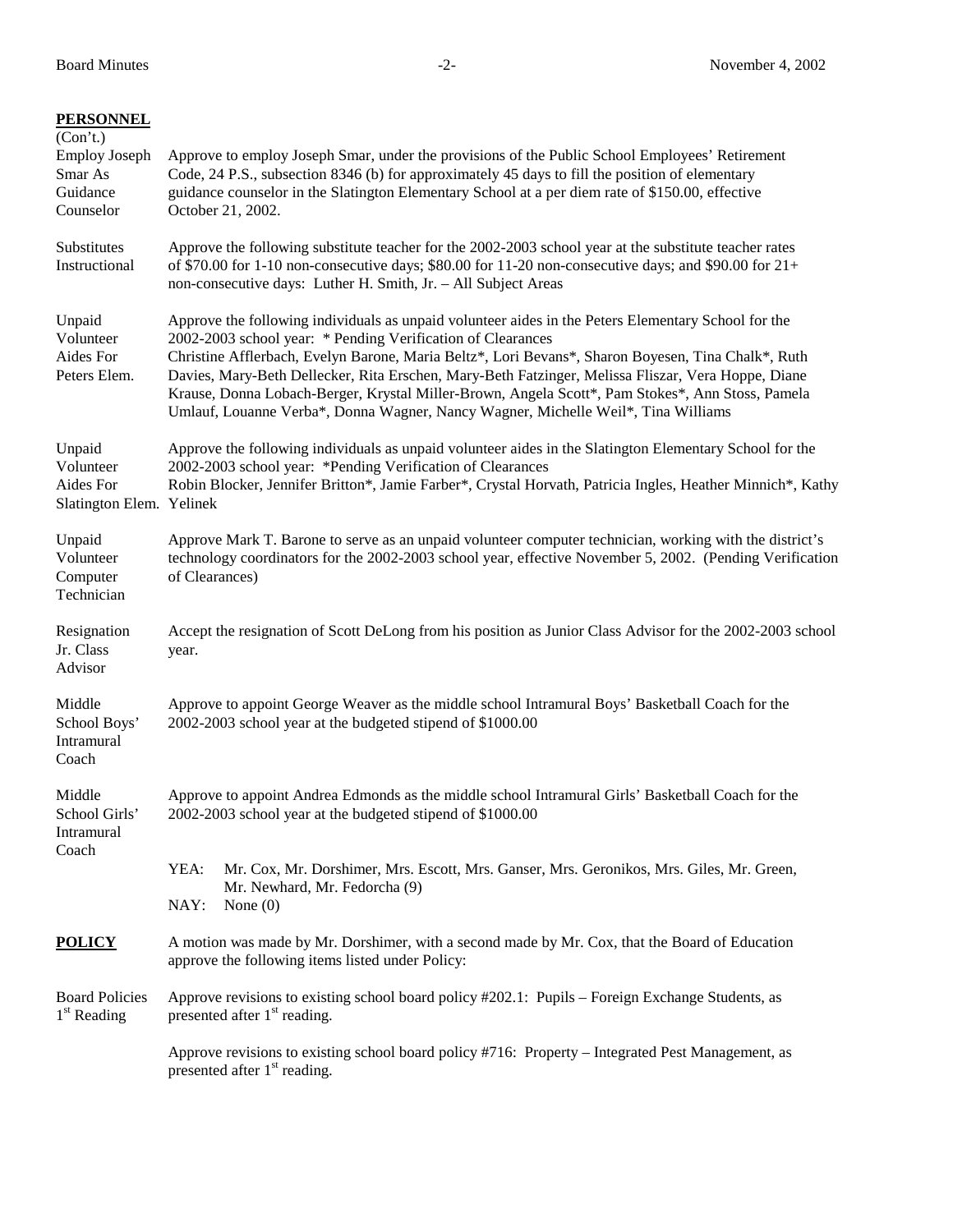| <b>PERSONNEL</b><br>(Con't.)<br><b>Employ Joseph</b><br>Smar As<br>Guidance<br>Counselor | Approve to employ Joseph Smar, under the provisions of the Public School Employees' Retirement<br>Code, 24 P.S., subsection 8346 (b) for approximately 45 days to fill the position of elementary<br>guidance counselor in the Slatington Elementary School at a per diem rate of \$150.00, effective<br>October 21, 2002.                                                                                                                                                                                                                                              |  |
|------------------------------------------------------------------------------------------|-------------------------------------------------------------------------------------------------------------------------------------------------------------------------------------------------------------------------------------------------------------------------------------------------------------------------------------------------------------------------------------------------------------------------------------------------------------------------------------------------------------------------------------------------------------------------|--|
| Substitutes<br>Instructional                                                             | Approve the following substitute teacher for the 2002-2003 school year at the substitute teacher rates<br>of \$70.00 for 1-10 non-consecutive days; \$80.00 for 11-20 non-consecutive days; and \$90.00 for $21+$<br>non-consecutive days: Luther H. Smith, Jr. - All Subject Areas                                                                                                                                                                                                                                                                                     |  |
| Unpaid<br>Volunteer<br>Aides For<br>Peters Elem.                                         | Approve the following individuals as unpaid volunteer aides in the Peters Elementary School for the<br>2002-2003 school year: * Pending Verification of Clearances<br>Christine Afflerbach, Evelyn Barone, Maria Beltz*, Lori Bevans*, Sharon Boyesen, Tina Chalk*, Ruth<br>Davies, Mary-Beth Dellecker, Rita Erschen, Mary-Beth Fatzinger, Melissa Fliszar, Vera Hoppe, Diane<br>Krause, Donna Lobach-Berger, Krystal Miller-Brown, Angela Scott*, Pam Stokes*, Ann Stoss, Pamela<br>Umlauf, Louanne Verba*, Donna Wagner, Nancy Wagner, Michelle Weil*, Tina Williams |  |
| Unpaid<br>Volunteer<br>Aides For<br>Slatington Elem. Yelinek                             | Approve the following individuals as unpaid volunteer aides in the Slatington Elementary School for the<br>2002-2003 school year: *Pending Verification of Clearances<br>Robin Blocker, Jennifer Britton*, Jamie Farber*, Crystal Horvath, Patricia Ingles, Heather Minnich*, Kathy                                                                                                                                                                                                                                                                                     |  |
| Unpaid<br>Volunteer<br>Computer<br>Technician                                            | Approve Mark T. Barone to serve as an unpaid volunteer computer technician, working with the district's<br>technology coordinators for the 2002-2003 school year, effective November 5, 2002. (Pending Verification<br>of Clearances)                                                                                                                                                                                                                                                                                                                                   |  |
| Resignation<br>Jr. Class<br>Advisor                                                      | Accept the resignation of Scott DeLong from his position as Junior Class Advisor for the 2002-2003 school<br>year.                                                                                                                                                                                                                                                                                                                                                                                                                                                      |  |
| Middle<br>School Boys'<br>Intramural<br>Coach                                            | Approve to appoint George Weaver as the middle school Intramural Boys' Basketball Coach for the<br>2002-2003 school year at the budgeted stipend of \$1000.00                                                                                                                                                                                                                                                                                                                                                                                                           |  |
| Middle<br>School Girls'<br>Intramural<br>Coach                                           | Approve to appoint Andrea Edmonds as the middle school Intramural Girls' Basketball Coach for the<br>2002-2003 school year at the budgeted stipend of \$1000.00                                                                                                                                                                                                                                                                                                                                                                                                         |  |
|                                                                                          | YEA:<br>Mr. Cox, Mr. Dorshimer, Mrs. Escott, Mrs. Ganser, Mrs. Geronikos, Mrs. Giles, Mr. Green,<br>Mr. Newhard, Mr. Fedorcha (9)<br>NAY:<br>None $(0)$                                                                                                                                                                                                                                                                                                                                                                                                                 |  |
| <b>POLICY</b>                                                                            | A motion was made by Mr. Dorshimer, with a second made by Mr. Cox, that the Board of Education<br>approve the following items listed under Policy:                                                                                                                                                                                                                                                                                                                                                                                                                      |  |
| <b>Board Policies</b><br>$1st$ Reading                                                   | Approve revisions to existing school board policy #202.1: Pupils – Foreign Exchange Students, as<br>presented after $1st$ reading.                                                                                                                                                                                                                                                                                                                                                                                                                                      |  |
|                                                                                          | Approve revisions to existing school board policy #716: Property – Integrated Pest Management, as<br>presented after $1st$ reading.                                                                                                                                                                                                                                                                                                                                                                                                                                     |  |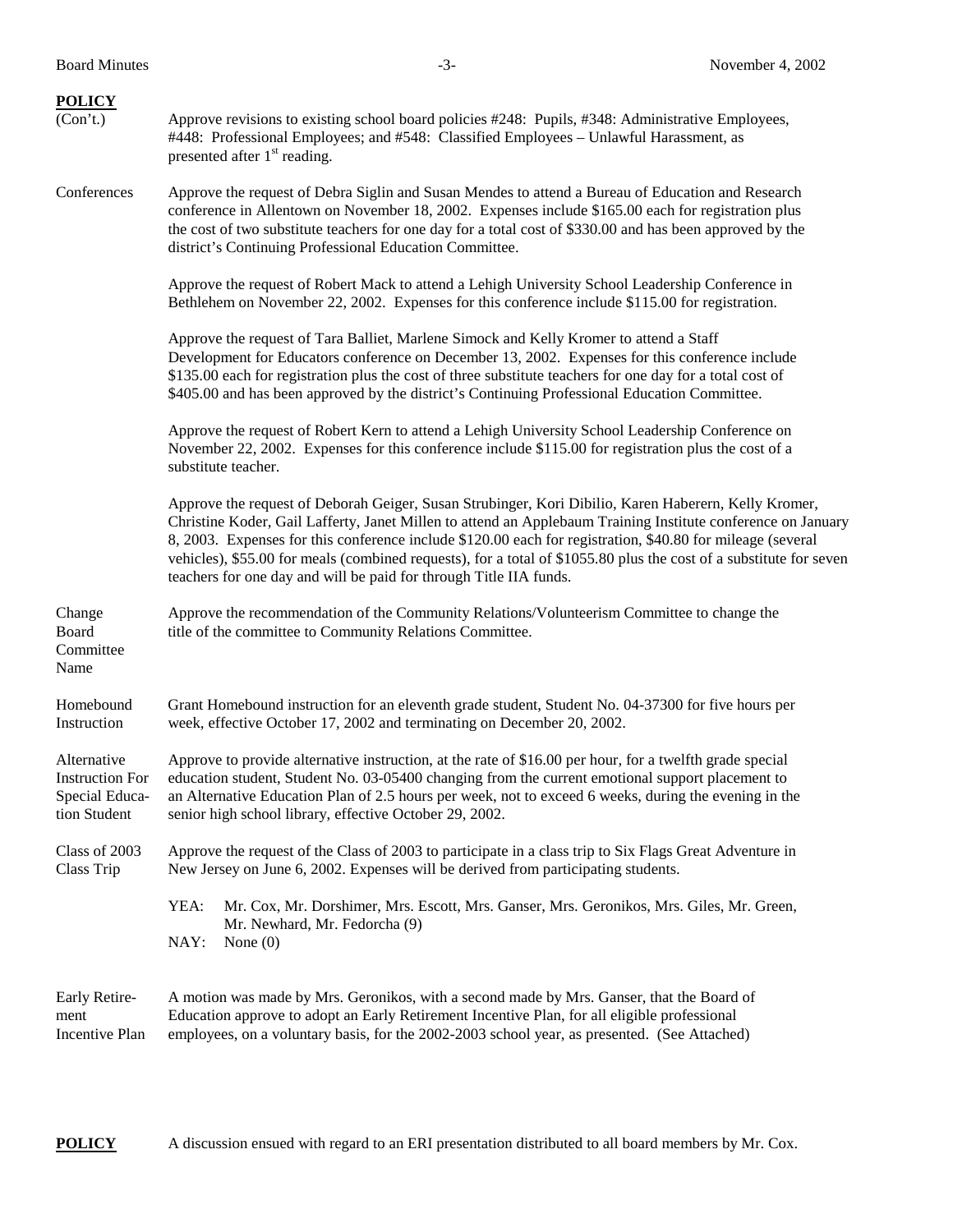| <b>POLICY</b><br>(Con't.)                                               | Approve revisions to existing school board policies #248: Pupils, #348: Administrative Employees,<br>#448: Professional Employees; and #548: Classified Employees - Unlawful Harassment, as<br>presented after 1 <sup>st</sup> reading.                                                                                                                                                                                                                                                                                        |
|-------------------------------------------------------------------------|--------------------------------------------------------------------------------------------------------------------------------------------------------------------------------------------------------------------------------------------------------------------------------------------------------------------------------------------------------------------------------------------------------------------------------------------------------------------------------------------------------------------------------|
| Conferences                                                             | Approve the request of Debra Siglin and Susan Mendes to attend a Bureau of Education and Research<br>conference in Allentown on November 18, 2002. Expenses include \$165.00 each for registration plus<br>the cost of two substitute teachers for one day for a total cost of \$330.00 and has been approved by the<br>district's Continuing Professional Education Committee.                                                                                                                                                |
|                                                                         | Approve the request of Robert Mack to attend a Lehigh University School Leadership Conference in<br>Bethlehem on November 22, 2002. Expenses for this conference include \$115.00 for registration.                                                                                                                                                                                                                                                                                                                            |
|                                                                         | Approve the request of Tara Balliet, Marlene Simock and Kelly Kromer to attend a Staff<br>Development for Educators conference on December 13, 2002. Expenses for this conference include<br>\$135.00 each for registration plus the cost of three substitute teachers for one day for a total cost of<br>\$405.00 and has been approved by the district's Continuing Professional Education Committee.                                                                                                                        |
|                                                                         | Approve the request of Robert Kern to attend a Lehigh University School Leadership Conference on<br>November 22, 2002. Expenses for this conference include \$115.00 for registration plus the cost of a<br>substitute teacher.                                                                                                                                                                                                                                                                                                |
|                                                                         | Approve the request of Deborah Geiger, Susan Strubinger, Kori Dibilio, Karen Haberern, Kelly Kromer,<br>Christine Koder, Gail Lafferty, Janet Millen to attend an Applebaum Training Institute conference on January<br>8, 2003. Expenses for this conference include \$120.00 each for registration, \$40.80 for mileage (several<br>vehicles), \$55.00 for meals (combined requests), for a total of \$1055.80 plus the cost of a substitute for seven<br>teachers for one day and will be paid for through Title IIA funds. |
| Change<br>Board<br>Committee<br>Name                                    | Approve the recommendation of the Community Relations/Volunteerism Committee to change the<br>title of the committee to Community Relations Committee.                                                                                                                                                                                                                                                                                                                                                                         |
| Homebound<br>Instruction                                                | Grant Homebound instruction for an eleventh grade student, Student No. 04-37300 for five hours per<br>week, effective October 17, 2002 and terminating on December 20, 2002.                                                                                                                                                                                                                                                                                                                                                   |
| Alternative<br><b>Instruction For</b><br>Special Educa-<br>tion Student | Approve to provide alternative instruction, at the rate of \$16.00 per hour, for a twelfth grade special<br>education student, Student No. 03-05400 changing from the current emotional support placement to<br>an Alternative Education Plan of 2.5 hours per week, not to exceed 6 weeks, during the evening in the<br>senior high school library, effective October 29, 2002.                                                                                                                                               |
| Class of 2003<br>Class Trip                                             | Approve the request of the Class of 2003 to participate in a class trip to Six Flags Great Adventure in<br>New Jersey on June 6, 2002. Expenses will be derived from participating students.                                                                                                                                                                                                                                                                                                                                   |
|                                                                         | YEA:<br>Mr. Cox, Mr. Dorshimer, Mrs. Escott, Mrs. Ganser, Mrs. Geronikos, Mrs. Giles, Mr. Green,<br>Mr. Newhard, Mr. Fedorcha (9)<br>NAY:<br>None $(0)$                                                                                                                                                                                                                                                                                                                                                                        |
| Early Retire-<br>ment<br>Incentive Plan                                 | A motion was made by Mrs. Geronikos, with a second made by Mrs. Ganser, that the Board of<br>Education approve to adopt an Early Retirement Incentive Plan, for all eligible professional<br>employees, on a voluntary basis, for the 2002-2003 school year, as presented. (See Attached)                                                                                                                                                                                                                                      |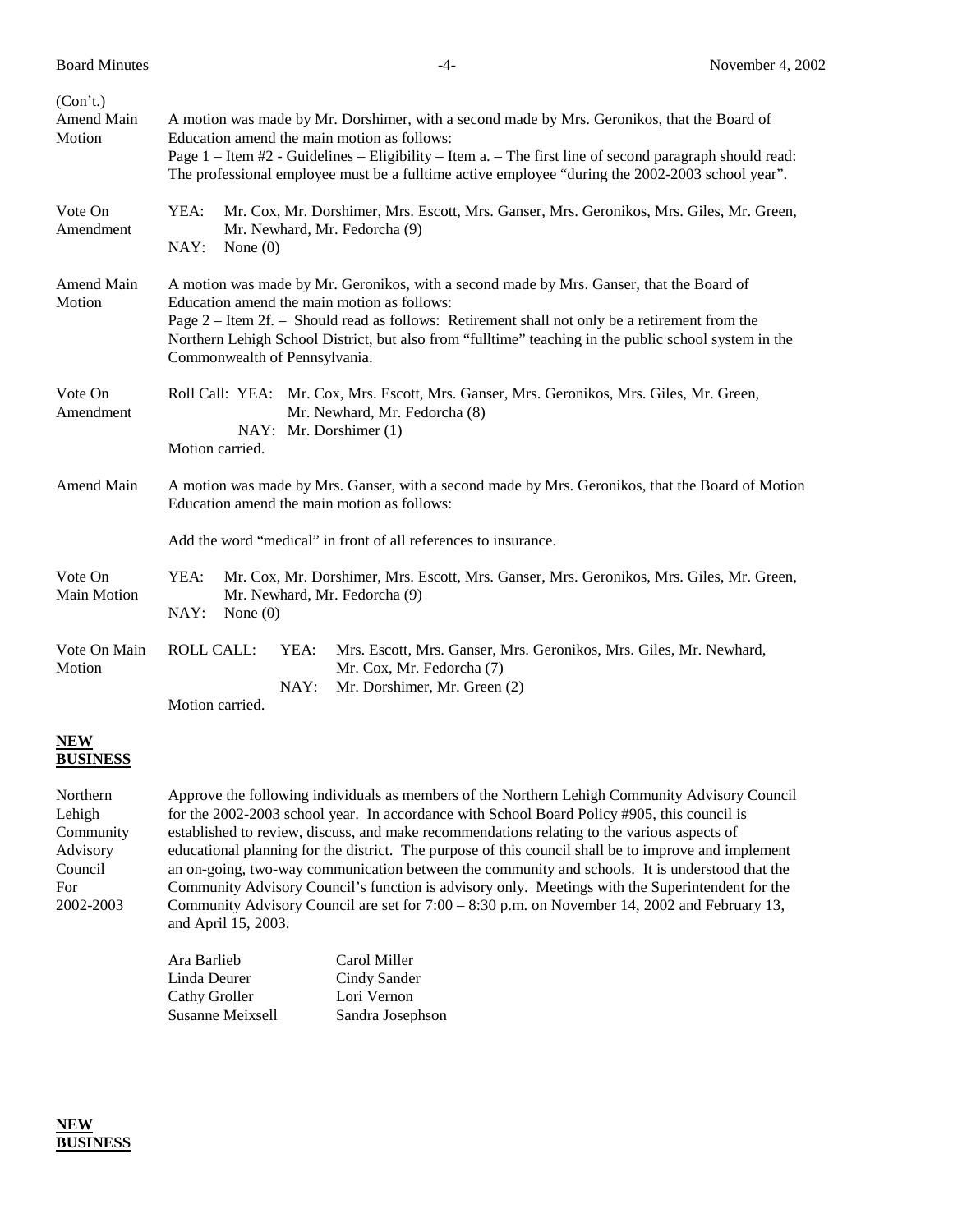| (Con't.)<br>Amend Main<br>Motion | A motion was made by Mr. Dorshimer, with a second made by Mrs. Geronikos, that the Board of<br>Education amend the main motion as follows:<br>Page 1 – Item #2 - Guidelines – Eligibility – Item a. – The first line of second paragraph should read:<br>The professional employee must be a fulltime active employee "during the 2002-2003 school year".                           |  |
|----------------------------------|-------------------------------------------------------------------------------------------------------------------------------------------------------------------------------------------------------------------------------------------------------------------------------------------------------------------------------------------------------------------------------------|--|
| Vote On<br>Amendment             | YEA:<br>Mr. Cox, Mr. Dorshimer, Mrs. Escott, Mrs. Ganser, Mrs. Geronikos, Mrs. Giles, Mr. Green,<br>Mr. Newhard, Mr. Fedorcha (9)<br>NAY:<br>None $(0)$                                                                                                                                                                                                                             |  |
| Amend Main<br>Motion             | A motion was made by Mr. Geronikos, with a second made by Mrs. Ganser, that the Board of<br>Education amend the main motion as follows:<br>Page 2 – Item 2f. – Should read as follows: Retirement shall not only be a retirement from the<br>Northern Lehigh School District, but also from "fulltime" teaching in the public school system in the<br>Commonwealth of Pennsylvania. |  |
| Vote On<br>Amendment             | Roll Call: YEA: Mr. Cox, Mrs. Escott, Mrs. Ganser, Mrs. Geronikos, Mrs. Giles, Mr. Green,<br>Mr. Newhard, Mr. Fedorcha (8)<br>NAY: Mr. Dorshimer (1)<br>Motion carried.                                                                                                                                                                                                             |  |
| Amend Main                       | A motion was made by Mrs. Ganser, with a second made by Mrs. Geronikos, that the Board of Motion<br>Education amend the main motion as follows:<br>Add the word "medical" in front of all references to insurance.                                                                                                                                                                  |  |
| Vote On<br>Main Motion           | YEA:<br>Mr. Cox, Mr. Dorshimer, Mrs. Escott, Mrs. Ganser, Mrs. Geronikos, Mrs. Giles, Mr. Green,<br>Mr. Newhard, Mr. Fedorcha (9)<br>NAY:<br>None $(0)$                                                                                                                                                                                                                             |  |
| Vote On Main<br>Motion           | <b>ROLL CALL:</b><br>YEA:<br>Mrs. Escott, Mrs. Ganser, Mrs. Geronikos, Mrs. Giles, Mr. Newhard,<br>Mr. Cox, Mr. Fedorcha (7)<br>NAY:<br>Mr. Dorshimer, Mr. Green (2)<br>Motion carried.                                                                                                                                                                                             |  |

## **NEW BUSINESS**

Northern Approve the following individuals as members of the Northern Lehigh Community Advisory Council Lehigh for the 2002-2003 school year. In accordance with School Board Policy #905, this council is Community established to review, discuss, and make recommendations relating to the various aspects of Advisory educational planning for the district. The purpose of this council shall be to improve and implement Council an on-going, two-way communication between the community and schools. It is understood that the For Community Advisory Council's function is advisory only. Meetings with the Superintendent for the 2002-2003 Community Advisory Council are set for 7:00 – 8:30 p.m. on November 14, 2002 and February 13, and April 15, 2003.

| Ara Barlieb      | Carol Miller     |
|------------------|------------------|
| Linda Deurer     | Cindy Sander     |
| Cathy Groller    | Lori Vernon      |
| Susanne Meixsell | Sandra Josephson |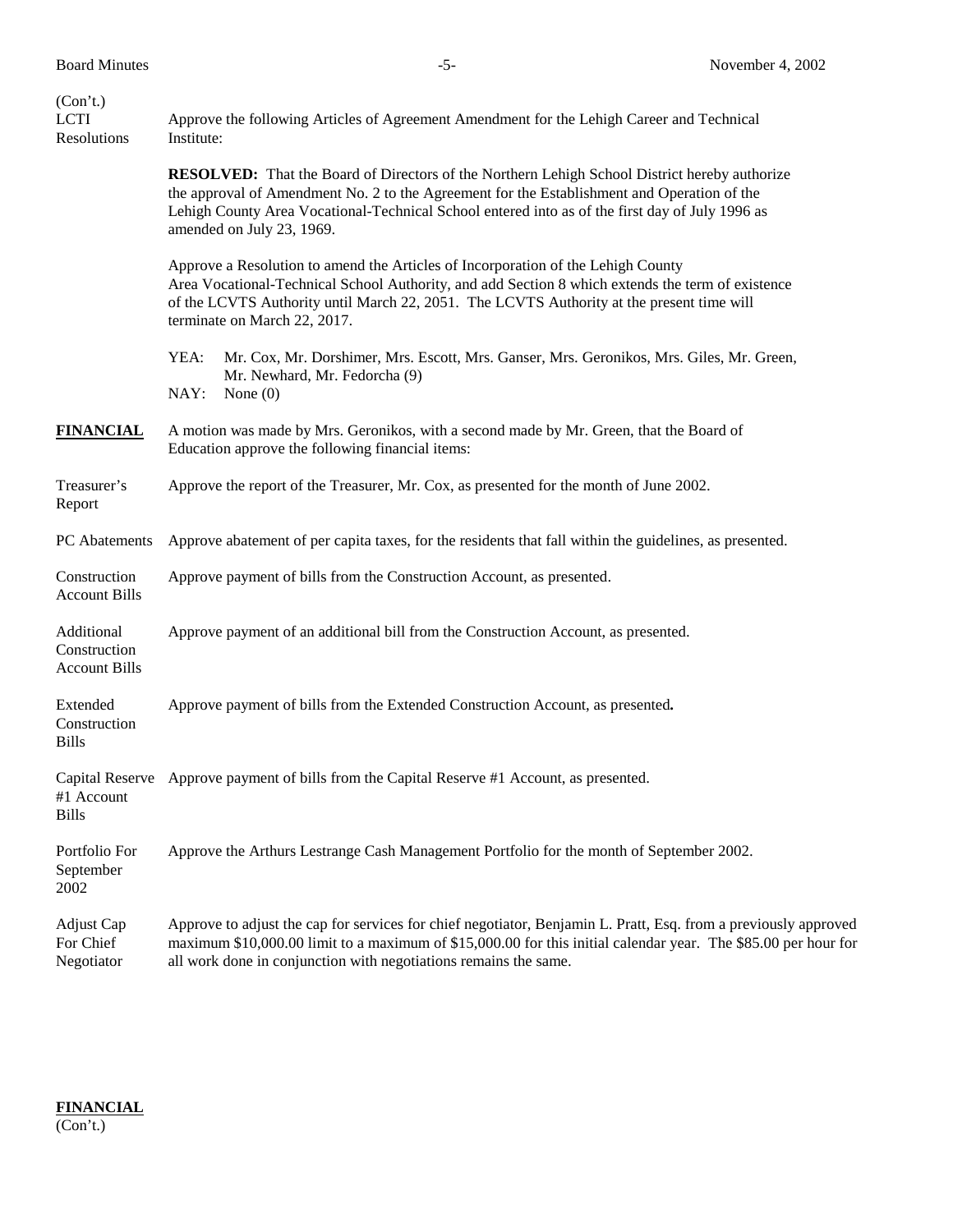| (Con't.)<br><b>LCTI</b><br>Resolutions             | Approve the following Articles of Agreement Amendment for the Lehigh Career and Technical<br>Institute:                                                                                                                                                                                                                             |
|----------------------------------------------------|-------------------------------------------------------------------------------------------------------------------------------------------------------------------------------------------------------------------------------------------------------------------------------------------------------------------------------------|
|                                                    | <b>RESOLVED:</b> That the Board of Directors of the Northern Lehigh School District hereby authorize<br>the approval of Amendment No. 2 to the Agreement for the Establishment and Operation of the<br>Lehigh County Area Vocational-Technical School entered into as of the first day of July 1996 as<br>amended on July 23, 1969. |
|                                                    | Approve a Resolution to amend the Articles of Incorporation of the Lehigh County<br>Area Vocational-Technical School Authority, and add Section 8 which extends the term of existence<br>of the LCVTS Authority until March 22, 2051. The LCVTS Authority at the present time will<br>terminate on March 22, 2017.                  |
|                                                    | YEA:<br>Mr. Cox, Mr. Dorshimer, Mrs. Escott, Mrs. Ganser, Mrs. Geronikos, Mrs. Giles, Mr. Green,<br>Mr. Newhard, Mr. Fedorcha (9)<br>NAY:<br>None $(0)$                                                                                                                                                                             |
| <b>FINANCIAL</b>                                   | A motion was made by Mrs. Geronikos, with a second made by Mr. Green, that the Board of<br>Education approve the following financial items:                                                                                                                                                                                         |
| Treasurer's<br>Report                              | Approve the report of the Treasurer, Mr. Cox, as presented for the month of June 2002.                                                                                                                                                                                                                                              |
| PC Abatements                                      | Approve abatement of per capita taxes, for the residents that fall within the guidelines, as presented.                                                                                                                                                                                                                             |
| Construction<br><b>Account Bills</b>               | Approve payment of bills from the Construction Account, as presented.                                                                                                                                                                                                                                                               |
| Additional<br>Construction<br><b>Account Bills</b> | Approve payment of an additional bill from the Construction Account, as presented.                                                                                                                                                                                                                                                  |
| Extended<br>Construction<br><b>Bills</b>           | Approve payment of bills from the Extended Construction Account, as presented.                                                                                                                                                                                                                                                      |
| #1 Account<br><b>Bills</b>                         | Capital Reserve Approve payment of bills from the Capital Reserve #1 Account, as presented.                                                                                                                                                                                                                                         |
| Portfolio For<br>September<br>2002                 | Approve the Arthurs Lestrange Cash Management Portfolio for the month of September 2002.                                                                                                                                                                                                                                            |
| Adjust Cap<br>For Chief<br>Negotiator              | Approve to adjust the cap for services for chief negotiator, Benjamin L. Pratt, Esq. from a previously approved<br>maximum \$10,000.00 limit to a maximum of \$15,000.00 for this initial calendar year. The \$85.00 per hour for<br>all work done in conjunction with negotiations remains the same.                               |

**FINANCIAL** (Con't.)